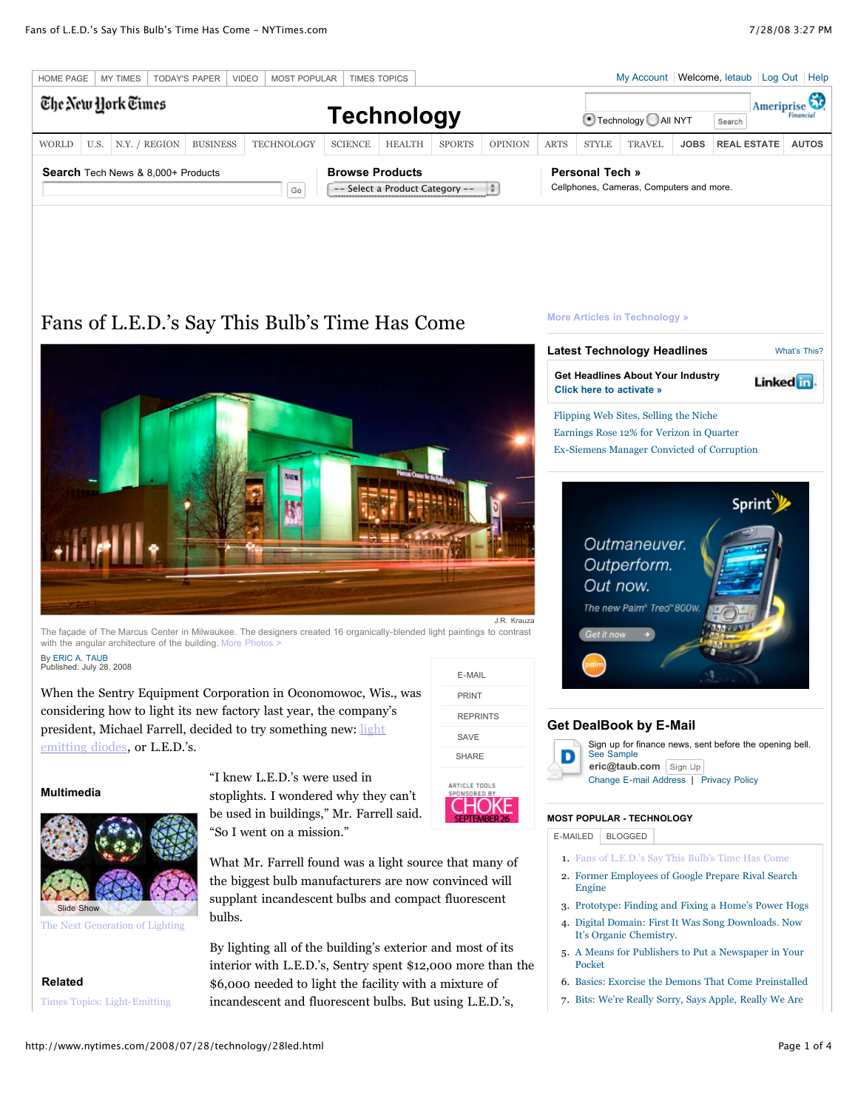

# Fans of L.E.D.'s Say This Bulb's Time Has Come



The façade of The Marcus Center in Milwaukee. The designers created 16 organically-blended light paintings to contrast with the angular architecture of the building. More Photos By [ERIC A. TAUB](http://query.nytimes.com/search/query?ppds=bylL&v1=ERIC%20A.%20TAUB&fdq=19960101&td=sysdate&sort=newest&ac=ERIC%20A.%20TAUB&inline=nyt-per) Published: July 28, 2008

When the Sentry Equipment Corporation in Oconomowoc, Wis., was considering how to light its new factory last year, the company's [president, Michael Farrell, decided to try something new: light](http://topics.nytimes.com/top/reference/timestopics/subjects/l/lightemitting_diodes/index.html)

## **Multimedia**



emitting diodes, or L.E.D.'s.

[The Next Generation of Lighting](http://www.nytimes.com/slideshow/2008/07/28/technology/20080728_LED_SLIDESHOW_index.html)

**Related** [Times Topics: Light-Emitting](http://topics.nytimes.com/top/reference/timestopics/subjects/l/lightemitting_diodes/index.html)

"I knew L.E.D.'s were used in stoplights. I wondered why they can't be used in buildings," Mr. Farrell said. "So I went on a mission."



[E-MAIL](javascript:document.emailThis.submit();) [PRINT](http://www.nytimes.com/2008/07/28/technology/28led.html?pagewanted=print) [REPRINTS](http://www.nytimes.com/2008/07/28/technology/28led.html#)

What Mr. Farrell found was a light source that many of the biggest bulb manufacturers are now convinced will supplant incandescent bulbs and compact fluorescent bulbs.

By lighting all of the building's exterior and most of its interior with L.E.D.'s, Sentry spent \$12,000 more than the \$6,000 needed to light the facility with a mixture of incandescent and fluorescent bulbs. But using L.E.D.'s,

#### **[More Articles in Technology »](http://www.nytimes.com/pages/technology/index.html)**

| <b>Latest Technology Headlines</b>                            | What's This? |
|---------------------------------------------------------------|--------------|
| Get Headlines About Your Industry<br>Click here to activate » | Linked in .  |

[Flipping Web Sites, Selling the Niche](http://www.nytimes.com/2008/07/29/technology/29flip.html?src=linkedin) [Earnings Rose 12% for Verizon in Quarter](http://www.nytimes.com/2008/07/29/business/29verizon.html?src=linkedin) [Ex-Siemens Manager Convicted of Corruption](http://www.nytimes.com/2008/07/29/business/worldbusiness/29siemens.html?src=linkedin)



## **Get DealBook by E-Mail**



## **MOST POPULAR - TECHNOLOGY**

[E-MAILED](http://www.nytimes.com/2008/07/28/technology/28led.html#) [BLOGGED](http://www.nytimes.com/2008/07/28/technology/28led.html#)

- 1. [Fans of L.E.D.'s Say This Bulb's Time Has Come](http://www.nytimes.com/2008/07/28/technology/28led.html?em&ex=1217390400&en=a18d83ec81178fd7&ei=5087%0A)
- 2. [Former Employees of Google Prepare Rival Search](http://www.nytimes.com/2008/07/28/technology/28cool.html?em&ex=1217390400&en=8906fcfc77ed6cf4&ei=5087%0A) Engine
- 3. [Prototype: Finding and Fixing a Home's Power Hogs](http://www.nytimes.com/2008/07/27/technology/27proto.html?em&ex=1217390400&en=ec808d104882acda&ei=5087%0A)
- 4. [Digital Domain: First It Was Song Downloads. Now](http://www.nytimes.com/2008/07/27/technology/27digi.html?em&ex=1217390400&en=d64cbbb55e6c60a5&ei=5087%0A) It's Organic Chemistry.
- 5. [A Means for Publishers to Put a Newspaper in Your](http://www.nytimes.com/2008/07/28/technology/28verve.html?em&ex=1217390400&en=4e86a6cb8565017e&ei=5087%0A) Pocket
- 6. [Basics: Exorcise the Demons That Come Preinstalled](http://www.nytimes.com/2008/07/24/technology/personaltech/24basics.html?em&ex=1217390400&en=5c8026887a89c3f3&ei=5087%0A)
- 7. [Bits: We're Really Sorry, Says Apple, Really We Are](http://bits.blogs.nytimes.com/2008/07/27/were-really-sorry-says-apple-really-we-are/?em&ex=1217390400&en=180b5b039267348b&ei=5087%0A)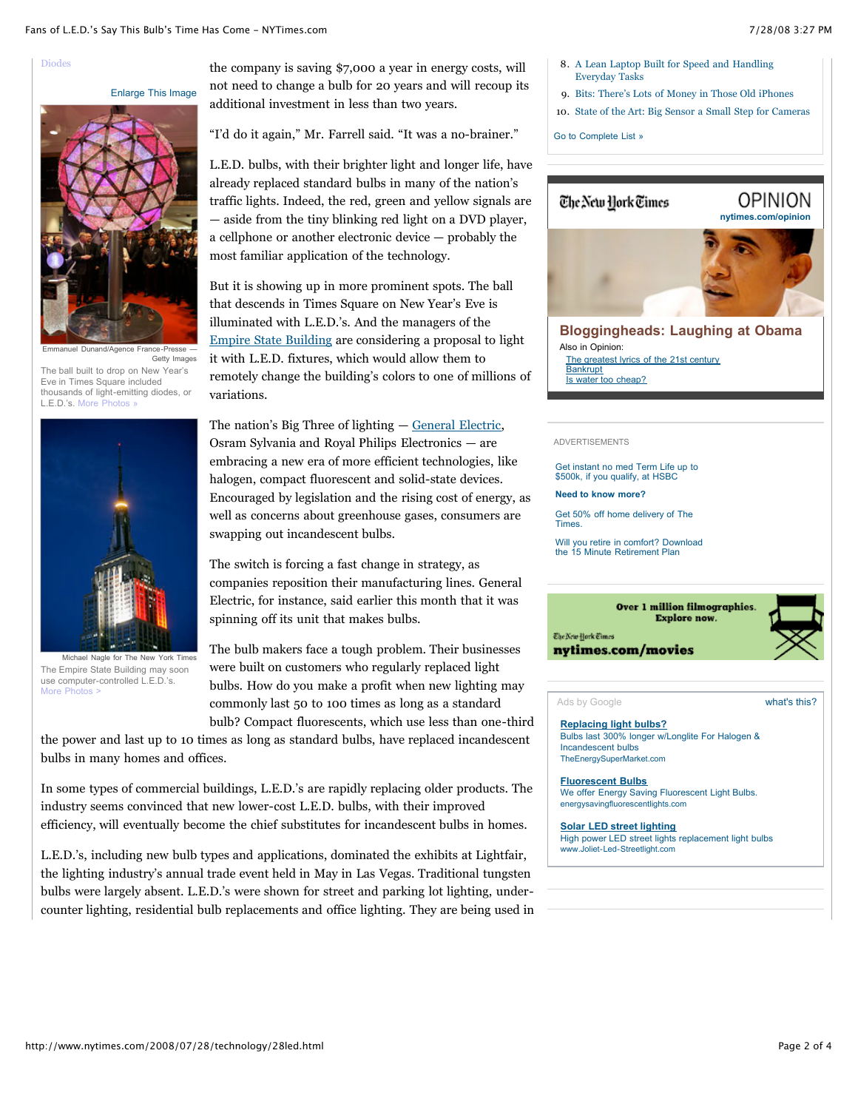## [Enlarge This Image](javascript:pop_me_up2()

[Diodes](http://topics.nytimes.com/top/reference/timestopics/subjects/l/lightemitting_diodes/index.html)



nanuel Dunand/Agence France-Presse -Getty Images

The ball built to drop on New Year's Eve in Times Square included thousands of light-emitting diodes, or L.E.D.'s. More Pho



Michael Nagle for The New York Times The Empire State Building may soon use computer-controlled L.E.D.'s. More Photos

the company is saving \$7,000 a year in energy costs, will not need to change a bulb for 20 years and will recoup its additional investment in less than two years.

"I'd do it again," Mr. Farrell said. "It was a no-brainer."

L.E.D. bulbs, with their brighter light and longer life, have already replaced standard bulbs in many of the nation's traffic lights. Indeed, the red, green and yellow signals are — aside from the tiny blinking red light on a DVD player, a cellphone or another electronic device — probably the most familiar application of the technology.

But it is showing up in more prominent spots. The ball that descends in Times Square on New Year's Eve is illuminated with L.E.D.'s. And the managers of the [Empire State Building](http://topics.nytimes.com/top/reference/timestopics/subjects/e/empire_state_building/index.html?inline=nyt-classifier) are considering a proposal to light it with L.E.D. fixtures, which would allow them to remotely change the building's colors to one of millions of variations.

The nation's Big Three of lighting — [General Electric,](http://topics.nytimes.com/top/news/business/companies/general_electric_company/index.html?inline=nyt-org) Osram Sylvania and Royal Philips Electronics — are embracing a new era of more efficient technologies, like halogen, compact fluorescent and solid-state devices. Encouraged by legislation and the rising cost of energy, as well as concerns about greenhouse gases, consumers are swapping out incandescent bulbs.

The switch is forcing a fast change in strategy, as companies reposition their manufacturing lines. General Electric, for instance, said earlier this month that it was spinning off its unit that makes bulbs.

The bulb makers face a tough problem. Their businesses were built on customers who regularly replaced light bulbs. How do you make a profit when new lighting may commonly last 50 to 100 times as long as a standard

bulb? Compact fluorescents, which use less than one-third the power and last up to 10 times as long as standard bulbs, have replaced incandescent bulbs in many homes and offices.

In some types of commercial buildings, L.E.D.'s are rapidly replacing older products. The industry seems convinced that new lower-cost L.E.D. bulbs, with their improved efficiency, will eventually become the chief substitutes for incandescent bulbs in homes.

L.E.D.'s, including new bulb types and applications, dominated the exhibits at Lightfair, the lighting industry's annual trade event held in May in Las Vegas. Traditional tungsten bulbs were largely absent. L.E.D.'s were shown for street and parking lot lighting, undercounter lighting, residential bulb replacements and office lighting. They are being used in

- 8. [A Lean Laptop Built for Speed and Handling](http://www.nytimes.com/2008/07/24/technology/personaltech/24laptop.html?em&ex=1217390400&en=548b015c1fd8b1a4&ei=5087%0A) Everyday Tasks
- 9. [Bits: There's Lots of Money in Those Old iPhones](http://bits.blogs.nytimes.com/2008/07/18/theres-lots-of-money-in-those-old-iphones/?em&ex=1217390400&en=981a7c6ba131ceb0&ei=5087%0A)
- 10. [State of the Art: Big Sensor a Small Step for Cameras](http://www.nytimes.com/2008/07/24/technology/personaltech/24pogue.html?em&ex=1217390400&en=caa233e7296cecd5&ei=5087%0A)

Go to Complete List »



Also in Opinion: [The greatest lyrics of the 21st century](http://www.nytimes.com/adx/bin/adx_click.html?type=goto&page=www.nytimes.com/yr/mo/day/technology&pos=Box1&sn2=1e769007/da88728f&sn1=30aacbd8/6d747c58&camp=NYT2008-marketingmodule&ad=OP-D-I-NYT-MOD-MOD-M053-ROS-0708&goto=http://freakonomics.blogs.nytimes.com/2008/07/17/our-daily-bleg-what-are-the-greatest-lyrics-of-the-21st-century-no-stairway-please/%3Fex=1231992000%26en=cf89bab621710c60%26ei=5087%26WT.mc_id=OP-D-I-NYT-MOD-MOD-M053-ROS-0708-L1%26WT.mc_ev=click%26mkt=OP-D-I-NYT-MOD-MOD-M053-ROS-0708-L1) **[Bankrupt](http://www.nytimes.com/adx/bin/adx_click.html?type=goto&page=www.nytimes.com/yr/mo/day/technology&pos=Box1&sn2=1e769007/da88728f&sn1=30aacbd8/6d747c58&camp=NYT2008-marketingmodule&ad=OP-D-I-NYT-MOD-MOD-M053-ROS-0708&goto=http://opinionator.blogs.nytimes.com/2008/07/17/bankrupt/index.html%3Fex=1231992000%26en=91531e6614cd73d0%26ei=5087%26WT.mc_id=OP-D-I-NYT-MOD-MOD-M053-ROS-0708-L2%26WT.mc_ev=click%26mkt=OP-D-I-NYT-MOD-MOD-M053-ROS-0708-L2)** [Is water too cheap?](http://www.nytimes.com/adx/bin/adx_click.html?type=goto&page=www.nytimes.com/yr/mo/day/technology&pos=Box1&sn2=1e769007/da88728f&sn1=30aacbd8/6d747c58&camp=NYT2008-marketingmodule&ad=OP-D-I-NYT-MOD-MOD-M053-ROS-0708&goto=http://freakonomics.blogs.nytimes.com/2008/07/17/is-water-too-cheap/%3Fex=1231992000%26en=387faa1cdc72d58f%26ei=5087%26WT.mc_id=OP-D-I-NYT-MOD-MOD-M053-ROS-0708-L3%26WT.mc_ev=click%26mkt=OP-D-I-NYT-MOD-MOD-M053-ROS-0708-L3)

#### ADVERTISEMENTS

[Get instant no med Term Life up to](http://www.nytimes.com/adx/bin/adx_click.html?type=goto&page=www.nytimes.com/yr/mo/day/technology&pos=Right6A&sn2=b8bb34fd/20f18cdf&sn1=19d1552a/66110231&camp=HSBC_Velocity_03_901721-nyt1&ad=hsbc-textlink.html&goto=http%3A%2F%2Fad%2Edoubleclick%2Enet%2Fclk%3B205691493%3B28300488%3Bl&query=2008.07.28.22.24.58) \$500k, if you qualify, at HSBC

**Need to know more?**

[Get 50% off home delivery of The](http://www.nytimes.com/adx/bin/adx_click.html?type=goto&page=www.nytimes.com/yr/mo/day/technology&pos=Right7A&sn2=bcbb34fd/21098cdf&sn1=3a18abe3/a6ee056&camp=nyt2008-circ-textad-33WX3-ros&ad=textad_33WX3&goto=https%3A//www.nytimesathome.com/splitter_cp/index.php%3FSPTR_ID%3DhdNYT%26MediaCode%3DW16AD%26CMP%3D33WX3) **Times** 

[Will you retire in comfort? Download](http://www.nytimes.com/adx/bin/adx_click.html?type=goto&page=www.nytimes.com/yr/mo/day/technology&pos=Right8A&sn2=80bb34fd/21018cdf&sn1=a3c27d61/db3c5bb5&camp=FisherInvestments_03_896171-nyt1&ad=fisher-investments-textlinks.html&goto=http%3A%2F%2FFisherInvestments%2Eclick%2Durl%2Ecom%2FINV%2Fgo%2Fnwyrkfsi0110001160inv%2Fdirect%2F01%2F&query=2008.07.28.22.24.58) the 15 Minute Retirement Plan



Ads by Google **[what's this?](http://www.nytimes.com/ref/membercenter/faq/linkingqa16.html)** 

**[Replacing light bulbs?](http://pagead2.googlesyndication.com/pagead/iclk?sa=l&ai=BQOfoPkeOSIvLB4n-rAOdjcngCKXsyxH9__r8A8CNtwGwvRAQARgEIJzz-AEoAzgAUPLspoz-_____wFgyd7ohsijkBmgAbfEpf8DsgEPd3d3Lm55dGltZXMuY29tyAEB2gE3aHR0cDovL3d3dy5ueXRpbWVzLmNvbS8yMDA4LzA3LzI4L3RlY2hub2xvZ3kvMjhsZWQuaHRtbIACAagDAegDkALoA-YF6APpAfUDAAQAAPUDJAAAAIgEAZAEAZgEAA&num=4&adurl=http://shop.solardirect.com/index.php%3FEnergy_Savings%26cPath%3D24&client=ca-nytimes_article_var)** [Bulbs last 300% longer w/Longlite For Halogen &](http://pagead2.googlesyndication.com/pagead/iclk?sa=l&ai=BQOfoPkeOSIvLB4n-rAOdjcngCKXsyxH9__r8A8CNtwGwvRAQARgEIJzz-AEoAzgAUPLspoz-_____wFgyd7ohsijkBmgAbfEpf8DsgEPd3d3Lm55dGltZXMuY29tyAEB2gE3aHR0cDovL3d3dy5ueXRpbWVzLmNvbS8yMDA4LzA3LzI4L3RlY2hub2xvZ3kvMjhsZWQuaHRtbIACAagDAegDkALoA-YF6APpAfUDAAQAAPUDJAAAAIgEAZAEAZgEAA&num=4&adurl=http://shop.solardirect.com/index.php%3FEnergy_Savings%26cPath%3D24&client=ca-nytimes_article_var) Incandescent bulbs [TheEnergySuperMarket.com](http://pagead2.googlesyndication.com/pagead/iclk?sa=l&ai=BQOfoPkeOSIvLB4n-rAOdjcngCKXsyxH9__r8A8CNtwGwvRAQARgEIJzz-AEoAzgAUPLspoz-_____wFgyd7ohsijkBmgAbfEpf8DsgEPd3d3Lm55dGltZXMuY29tyAEB2gE3aHR0cDovL3d3dy5ueXRpbWVzLmNvbS8yMDA4LzA3LzI4L3RlY2hub2xvZ3kvMjhsZWQuaHRtbIACAagDAegDkALoA-YF6APpAfUDAAQAAPUDJAAAAIgEAZAEAZgEAA&num=4&adurl=http://shop.solardirect.com/index.php%3FEnergy_Savings%26cPath%3D24&client=ca-nytimes_article_var)

**[Fluorescent Bulbs](http://pagead2.googlesyndication.com/pagead/iclk?sa=l&ai=B_v9vPkeOSIvLB4n-rAOdjcngCMeqlkiTj4GiCMCNtwGg_goQAhgFIJzz-AEoAzgAUJDb26sCYMne6IbIo5AZsgEPd3d3Lm55dGltZXMuY29tyAEB2gE3aHR0cDovL3d3dy5ueXRpbWVzLmNvbS8yMDA4LzA3LzI4L3RlY2hub2xvZ3kvMjhsZWQuaHRtbKkCYbkf-5NzsD7IAsOjsAWoAwHoA5AC6APmBegD6QH1AwAEAAD1AyQAAACIBAGQBAGYBAA&num=5&adurl=http://energysavingfluorescentlights.com&client=ca-nytimes_article_var)** [We offer Energy Saving Fluorescent Light Bulbs.](http://pagead2.googlesyndication.com/pagead/iclk?sa=l&ai=B_v9vPkeOSIvLB4n-rAOdjcngCMeqlkiTj4GiCMCNtwGg_goQAhgFIJzz-AEoAzgAUJDb26sCYMne6IbIo5AZsgEPd3d3Lm55dGltZXMuY29tyAEB2gE3aHR0cDovL3d3dy5ueXRpbWVzLmNvbS8yMDA4LzA3LzI4L3RlY2hub2xvZ3kvMjhsZWQuaHRtbKkCYbkf-5NzsD7IAsOjsAWoAwHoA5AC6APmBegD6QH1AwAEAAD1AyQAAACIBAGQBAGYBAA&num=5&adurl=http://energysavingfluorescentlights.com&client=ca-nytimes_article_var) [energysavingfluorescentlights.com](http://pagead2.googlesyndication.com/pagead/iclk?sa=l&ai=B_v9vPkeOSIvLB4n-rAOdjcngCMeqlkiTj4GiCMCNtwGg_goQAhgFIJzz-AEoAzgAUJDb26sCYMne6IbIo5AZsgEPd3d3Lm55dGltZXMuY29tyAEB2gE3aHR0cDovL3d3dy5ueXRpbWVzLmNvbS8yMDA4LzA3LzI4L3RlY2hub2xvZ3kvMjhsZWQuaHRtbKkCYbkf-5NzsD7IAsOjsAWoAwHoA5AC6APmBegD6QH1AwAEAAD1AyQAAACIBAGQBAGYBAA&num=5&adurl=http://energysavingfluorescentlights.com&client=ca-nytimes_article_var)

**[Solar LED street lighting](http://pagead2.googlesyndication.com/pagead/iclk?sa=l&ai=BSgEEPkeOSIvLB4n-rAOdjcngCNTS3EiY6cChBsCNtwGgjQYQAxgGIJzz-AEoAzgAUJ6j5u_4_____wFgyd7ohsijkBmgAdLmlP4DsgEPd3d3Lm55dGltZXMuY29tyAEB2gE3aHR0cDovL3d3dy5ueXRpbWVzLmNvbS8yMDA4LzA3LzI4L3RlY2hub2xvZ3kvMjhsZWQuaHRtbIACAakCKG5iLoxguj6oAwHoA5AC6APmBegD6QH1AwAEAAD1AyQAAACIBAGQBAGYBAA&num=6&adurl=http://www.joliet-led-streetlight.com&client=ca-nytimes_article_var)** [High power LED street lights replacement light bulbs](http://pagead2.googlesyndication.com/pagead/iclk?sa=l&ai=BSgEEPkeOSIvLB4n-rAOdjcngCNTS3EiY6cChBsCNtwGgjQYQAxgGIJzz-AEoAzgAUJ6j5u_4_____wFgyd7ohsijkBmgAdLmlP4DsgEPd3d3Lm55dGltZXMuY29tyAEB2gE3aHR0cDovL3d3dy5ueXRpbWVzLmNvbS8yMDA4LzA3LzI4L3RlY2hub2xvZ3kvMjhsZWQuaHRtbIACAakCKG5iLoxguj6oAwHoA5AC6APmBegD6QH1AwAEAAD1AyQAAACIBAGQBAGYBAA&num=6&adurl=http://www.joliet-led-streetlight.com&client=ca-nytimes_article_var) [www.Joliet-Led-Streetlight.com](http://pagead2.googlesyndication.com/pagead/iclk?sa=l&ai=BSgEEPkeOSIvLB4n-rAOdjcngCNTS3EiY6cChBsCNtwGgjQYQAxgGIJzz-AEoAzgAUJ6j5u_4_____wFgyd7ohsijkBmgAdLmlP4DsgEPd3d3Lm55dGltZXMuY29tyAEB2gE3aHR0cDovL3d3dy5ueXRpbWVzLmNvbS8yMDA4LzA3LzI4L3RlY2hub2xvZ3kvMjhsZWQuaHRtbIACAakCKG5iLoxguj6oAwHoA5AC6APmBegD6QH1AwAEAAD1AyQAAACIBAGQBAGYBAA&num=6&adurl=http://www.joliet-led-streetlight.com&client=ca-nytimes_article_var)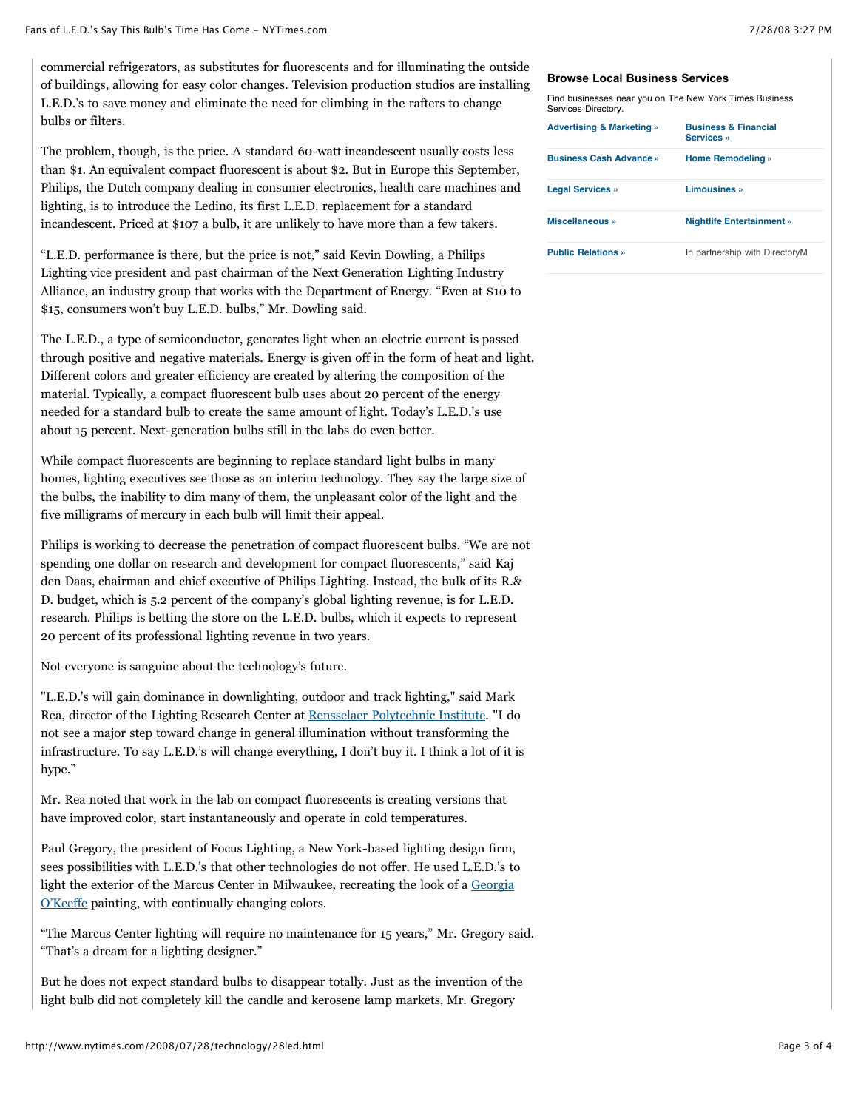commercial refrigerators, as substitutes for fluorescents and for illuminating the outside of buildings, allowing for easy color changes. Television production studios are installing L.E.D.'s to save money and eliminate the need for climbing in the rafters to change bulbs or filters.

The problem, though, is the price. A standard 60-watt incandescent usually costs less than \$1. An equivalent compact fluorescent is about \$2. But in Europe this September, Philips, the Dutch company dealing in consumer electronics, health care machines and lighting, is to introduce the Ledino, its first L.E.D. replacement for a standard incandescent. Priced at \$107 a bulb, it are unlikely to have more than a few takers.

"L.E.D. performance is there, but the price is not," said Kevin Dowling, a Philips Lighting vice president and past chairman of the Next Generation Lighting Industry Alliance, an industry group that works with the Department of Energy. "Even at \$10 to \$15, consumers won't buy L.E.D. bulbs," Mr. Dowling said.

The L.E.D., a type of semiconductor, generates light when an electric current is passed through positive and negative materials. Energy is given off in the form of heat and light. Different colors and greater efficiency are created by altering the composition of the material. Typically, a compact fluorescent bulb uses about 20 percent of the energy needed for a standard bulb to create the same amount of light. Today's L.E.D.'s use about 15 percent. Next-generation bulbs still in the labs do even better.

While compact fluorescents are beginning to replace standard light bulbs in many homes, lighting executives see those as an interim technology. They say the large size of the bulbs, the inability to dim many of them, the unpleasant color of the light and the five milligrams of mercury in each bulb will limit their appeal.

Philips is working to decrease the penetration of compact fluorescent bulbs. "We are not spending one dollar on research and development for compact fluorescents," said Kaj den Daas, chairman and chief executive of Philips Lighting. Instead, the bulk of its R.& D. budget, which is 5.2 percent of the company's global lighting revenue, is for L.E.D. research. Philips is betting the store on the L.E.D. bulbs, which it expects to represent 20 percent of its professional lighting revenue in two years.

Not everyone is sanguine about the technology's future.

"L.E.D.'s will gain dominance in downlighting, outdoor and track lighting," said Mark Rea, director of the Lighting Research Center at [Rensselaer Polytechnic Institute.](http://topics.nytimes.com/top/reference/timestopics/organizations/r/rensselaer_polytechnic_institute/index.html?inline=nyt-org) "I do not see a major step toward change in general illumination without transforming the infrastructure. To say L.E.D.'s will change everything, I don't buy it. I think a lot of it is hype."

Mr. Rea noted that work in the lab on compact fluorescents is creating versions that have improved color, start instantaneously and operate in cold temperatures.

Paul Gregory, the president of Focus Lighting, a New York-based lighting design firm, sees possibilities with L.E.D.'s that other technologies do not offer. He used L.E.D.'s to [light the exterior of the Marcus Center in Milwaukee, recreating the look of a Georgia](http://topics.nytimes.com/top/reference/timestopics/people/o/georgia_okeeffe/index.html?inline=nyt-per) O'Keeffe painting, with continually changing colors.

"The Marcus Center lighting will require no maintenance for 15 years," Mr. Gregory said. "That's a dream for a lighting designer."

But he does not expect standard bulbs to disappear totally. Just as the invention of the light bulb did not completely kill the candle and kerosene lamp markets, Mr. Gregory

## **Browse Local Business Services**

Find businesses near you on The New York Times Business Services Directory.

| <b>Advertising &amp; Marketing »</b> | <b>Business &amp; Financial</b><br>Services » |
|--------------------------------------|-----------------------------------------------|
| <b>Business Cash Advance</b> »       | <b>Home Remodeling</b> »                      |
| <b>Legal Services</b> »              | <b>Limousines</b> »                           |
| Miscellaneous »                      | <b>Nightlife Entertainment</b> »              |
| <b>Public Relations »</b>            | In partnership with DirectoryM                |